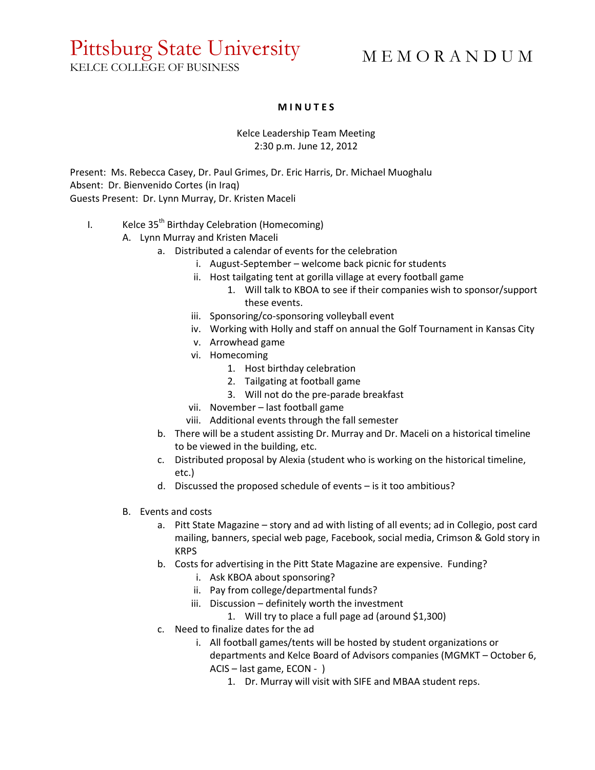## Pittsburg State University

## M E M O R A N D U M

KELCE COLLEGE OF BUSINESS

## **M I N U T E S**

Kelce Leadership Team Meeting 2:30 p.m. June 12, 2012

Present: Ms. Rebecca Casey, Dr. Paul Grimes, Dr. Eric Harris, Dr. Michael Muoghalu Absent: Dr. Bienvenido Cortes (in Iraq) Guests Present: Dr. Lynn Murray, Dr. Kristen Maceli

## I. Kelce  $35<sup>th</sup>$  Birthday Celebration (Homecoming)

- A. Lynn Murray and Kristen Maceli
	- a. Distributed a calendar of events for the celebration
		- i. August-September welcome back picnic for students
		- ii. Host tailgating tent at gorilla village at every football game
			- 1. Will talk to KBOA to see if their companies wish to sponsor/support these events.
		- iii. Sponsoring/co-sponsoring volleyball event
		- iv. Working with Holly and staff on annual the Golf Tournament in Kansas City
		- v. Arrowhead game
		- vi. Homecoming
			- 1. Host birthday celebration
			- 2. Tailgating at football game
			- 3. Will not do the pre-parade breakfast
		- vii. November last football game
		- viii. Additional events through the fall semester
	- b. There will be a student assisting Dr. Murray and Dr. Maceli on a historical timeline to be viewed in the building, etc.
	- c. Distributed proposal by Alexia (student who is working on the historical timeline, etc.)
	- d. Discussed the proposed schedule of events is it too ambitious?
	- B. Events and costs
		- a. Pitt State Magazine story and ad with listing of all events; ad in Collegio, post card mailing, banners, special web page, Facebook, social media, Crimson & Gold story in **KRPS**
		- b. Costs for advertising in the Pitt State Magazine are expensive. Funding?
			- i. Ask KBOA about sponsoring?
			- ii. Pay from college/departmental funds?
			- iii. Discussion definitely worth the investment
				- 1. Will try to place a full page ad (around \$1,300)
		- c. Need to finalize dates for the ad
			- i. All football games/tents will be hosted by student organizations or departments and Kelce Board of Advisors companies (MGMKT – October 6, ACIS – last game, ECON - )
				- 1. Dr. Murray will visit with SIFE and MBAA student reps.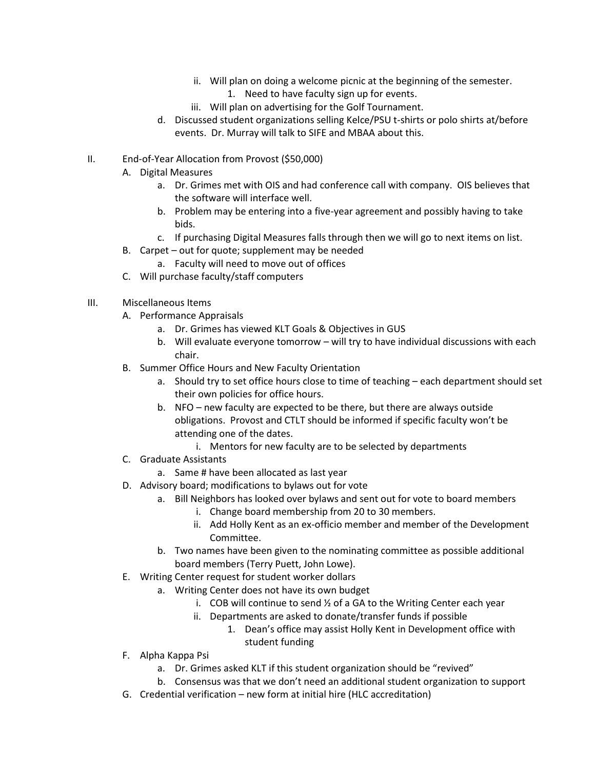- ii. Will plan on doing a welcome picnic at the beginning of the semester. 1. Need to have faculty sign up for events.
- iii. Will plan on advertising for the Golf Tournament.
- d. Discussed student organizations selling Kelce/PSU t-shirts or polo shirts at/before events. Dr. Murray will talk to SIFE and MBAA about this.
- II. End-of-Year Allocation from Provost (\$50,000)
	- A. Digital Measures
		- a. Dr. Grimes met with OIS and had conference call with company. OIS believes that the software will interface well.
		- b. Problem may be entering into a five-year agreement and possibly having to take bids.
		- c. If purchasing Digital Measures falls through then we will go to next items on list.
	- B. Carpet out for quote; supplement may be needed
		- a. Faculty will need to move out of offices
	- C. Will purchase faculty/staff computers
- III. Miscellaneous Items
	- A. Performance Appraisals
		- a. Dr. Grimes has viewed KLT Goals & Objectives in GUS
		- b. Will evaluate everyone tomorrow will try to have individual discussions with each chair.
	- B. Summer Office Hours and New Faculty Orientation
		- a. Should try to set office hours close to time of teaching each department should set their own policies for office hours.
		- b. NFO new faculty are expected to be there, but there are always outside obligations. Provost and CTLT should be informed if specific faculty won't be attending one of the dates.
			- i. Mentors for new faculty are to be selected by departments
	- C. Graduate Assistants
		- a. Same # have been allocated as last year
	- D. Advisory board; modifications to bylaws out for vote
		- a. Bill Neighbors has looked over bylaws and sent out for vote to board members
			- i. Change board membership from 20 to 30 members.
			- ii. Add Holly Kent as an ex-officio member and member of the Development Committee.
		- b. Two names have been given to the nominating committee as possible additional board members (Terry Puett, John Lowe).
	- E. Writing Center request for student worker dollars
		- a. Writing Center does not have its own budget
			- i. COB will continue to send ½ of a GA to the Writing Center each year
			- ii. Departments are asked to donate/transfer funds if possible
				- 1. Dean's office may assist Holly Kent in Development office with student funding
	- F. Alpha Kappa Psi
		- a. Dr. Grimes asked KLT if this student organization should be "revived"
		- b. Consensus was that we don't need an additional student organization to support
	- G. Credential verification new form at initial hire (HLC accreditation)